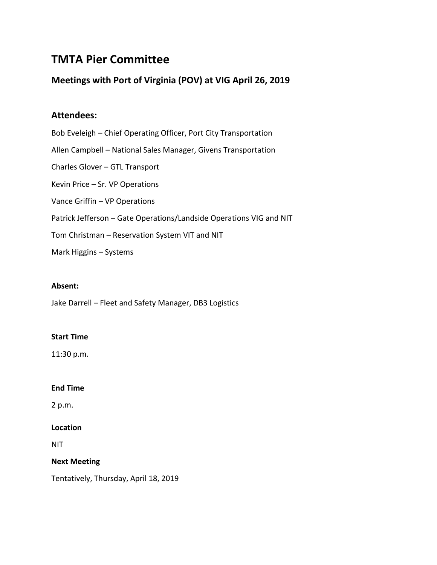# **TMTA Pier Committee**

### **Meetings with Port of Virginia (POV) at VIG April 26, 2019**

# **Attendees:**

Bob Eveleigh – Chief Operating Officer, Port City Transportation Allen Campbell – National Sales Manager, Givens Transportation Charles Glover – GTL Transport Kevin Price – Sr. VP Operations Vance Griffin – VP Operations Patrick Jefferson – Gate Operations/Landside Operations VIG and NIT Tom Christman – Reservation System VIT and NIT Mark Higgins – Systems

### **Absent:**

Jake Darrell – Fleet and Safety Manager, DB3 Logistics

### **Start Time**

11:30 p.m.

#### **End Time**

2 p.m.

### **Location**

NIT

### **Next Meeting**

Tentatively, Thursday, April 18, 2019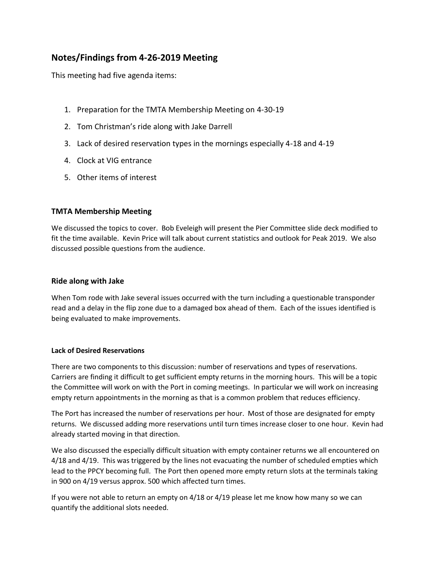# **Notes/Findings from 4-26-2019 Meeting**

This meeting had five agenda items:

- 1. Preparation for the TMTA Membership Meeting on 4-30-19
- 2. Tom Christman's ride along with Jake Darrell
- 3. Lack of desired reservation types in the mornings especially 4-18 and 4-19
- 4. Clock at VIG entrance
- 5. Other items of interest

### **TMTA Membership Meeting**

We discussed the topics to cover. Bob Eveleigh will present the Pier Committee slide deck modified to fit the time available. Kevin Price will talk about current statistics and outlook for Peak 2019. We also discussed possible questions from the audience.

### **Ride along with Jake**

When Tom rode with Jake several issues occurred with the turn including a questionable transponder read and a delay in the flip zone due to a damaged box ahead of them. Each of the issues identified is being evaluated to make improvements.

#### **Lack of Desired Reservations**

There are two components to this discussion: number of reservations and types of reservations. Carriers are finding it difficult to get sufficient empty returns in the morning hours. This will be a topic the Committee will work on with the Port in coming meetings. In particular we will work on increasing empty return appointments in the morning as that is a common problem that reduces efficiency.

The Port has increased the number of reservations per hour. Most of those are designated for empty returns. We discussed adding more reservations until turn times increase closer to one hour. Kevin had already started moving in that direction.

We also discussed the especially difficult situation with empty container returns we all encountered on 4/18 and 4/19. This was triggered by the lines not evacuating the number of scheduled empties which lead to the PPCY becoming full. The Port then opened more empty return slots at the terminals taking in 900 on 4/19 versus approx. 500 which affected turn times.

If you were not able to return an empty on 4/18 or 4/19 please let me know how many so we can quantify the additional slots needed.